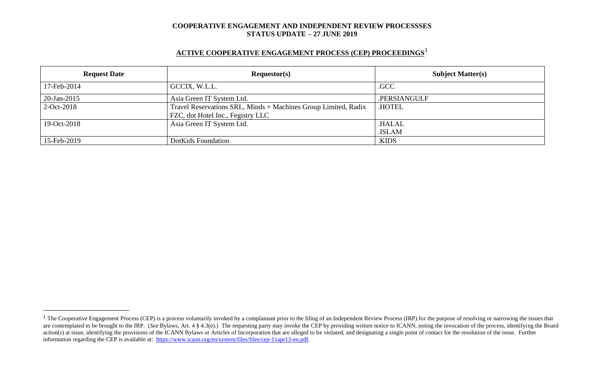## **ACTIVE COOPERATIVE ENGAGEMENT PROCESS (CEP) PROCEEDINGS** 1

| <b>Request Date</b> | Requestor(s)                                                                                        | <b>Subject Matter(s)</b> |  |
|---------------------|-----------------------------------------------------------------------------------------------------|--------------------------|--|
| 17-Feb-2014         | GCCIX, W.L.L.                                                                                       | .GCC                     |  |
| 20-Jan-2015         | Asia Green IT System Ltd.                                                                           | .PERSIANGULF             |  |
| $2-Oct-2018$        | Travel Reservations SRL, Minds + Machines Group Limited, Radix<br>FZC, dot Hotel Inc., Fegistry LLC | <b>HOTEL</b>             |  |
| 19-Oct-2018         | Asia Green IT System Ltd.                                                                           | .HALAL<br>.ISLAM         |  |
| 15-Feb-2019         | DotKids Foundation                                                                                  | .KIDS                    |  |

 $\overline{a}$ 

<sup>&</sup>lt;sup>1</sup> The Cooperative Engagement Process (CEP) is a process voluntarily invoked by a complainant prior to the filing of an Independent Review Process (IRP) for the purpose of resolving or narrowing the issues that are contemplated to be brought to the IRP. (*See* Bylaws, Art. 4 § 4.3(e).) The requesting party may invoke the CEP by providing written notice to ICANN, noting the invocation of the process, identifying the Board action(s) at issue, identifying the provisions of the ICANN Bylaws or Articles of Incorporation that are alleged to be violated, and designating a single point of contact for the resolution of the issue. Further information regarding the CEP is available at: [https://www.icann.org/en/system/files/files/cep-11apr13-en.pdf.](https://www.icann.org/en/system/files/files/cep-11apr13-en.pdf)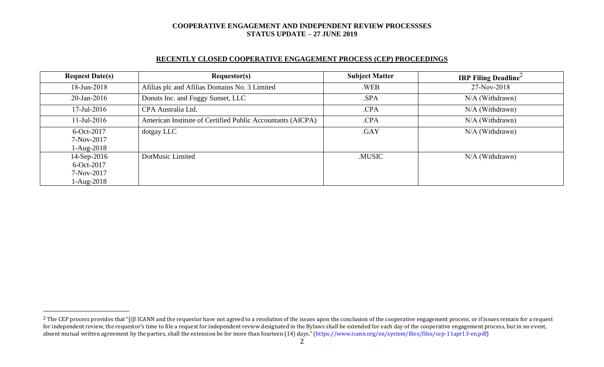### **RECENTLY CLOSED COOPERATIVE ENGAGEMENT PROCESS (CEP) PROCEEDINGS**

| <b>Request Date(s)</b> | <b>Requestor(s)</b>                                        | <b>Subject Matter</b> | <b>IRP Filing Deadline</b> |
|------------------------|------------------------------------------------------------|-----------------------|----------------------------|
| 18-Jun-2018            | Afilias plc and Afilias Domains No. 3 Limited              | .WEB                  | 27-Nov-2018                |
| 20-Jan-2016            | Donuts Inc. and Foggy Sunset, LLC                          | .SPA                  | N/A (Withdrawn)            |
| $17$ -Jul-2016         | CPA Australia Ltd.                                         | .CPA                  | $N/A$ (Withdrawn)          |
| $11$ -Jul-2016         | American Institute of Certified Public Accountants (AICPA) | .CPA                  | N/A (Withdrawn)            |
| 6-Oct-2017             | dotgay LLC                                                 | .GAY                  | $N/A$ (Withdrawn)          |
| 7-Nov-2017             |                                                            |                       |                            |
| $1-Aug-2018$           |                                                            |                       |                            |
| 14-Sep-2016            | DotMusic Limited                                           | .MUSIC                | N/A (Withdrawn)            |
| $6$ -Oct-2017          |                                                            |                       |                            |
| 7-Nov-2017             |                                                            |                       |                            |
| $1-Aug-2018$           |                                                            |                       |                            |

 $\overline{a}$ 

<sup>&</sup>lt;sup>2</sup> The CEP process provides that "[i]f ICANN and the requestor have not agreed to a resolution of the issues upon the conclusion of the cooperative engagement process, or if issues remain for a request for independent review, the requestor's time to file a request for independent review designated in the Bylaws shall be extended for each day of the cooperative engagement process, but in no event, absent mutual written agreement by the parties, shall the extension be for more than fourteen (14) days." (https://www.icann.org/en/system/files/files/cep-11apr13-en.pdf)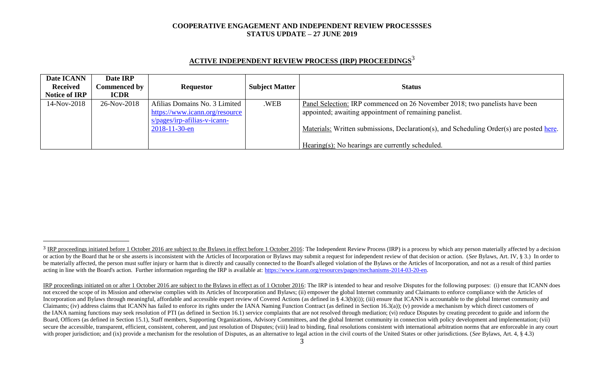| Date ICANN           | Date IRP            |                                |                       |                                                                                          |
|----------------------|---------------------|--------------------------------|-----------------------|------------------------------------------------------------------------------------------|
| <b>Received</b>      | <b>Commenced by</b> | <b>Requestor</b>               | <b>Subject Matter</b> | <b>Status</b>                                                                            |
| <b>Notice of IRP</b> | <b>ICDR</b>         |                                |                       |                                                                                          |
| 14-Nov-2018          | 26-Nov-2018         | Afilias Domains No. 3 Limited  | .WEB                  | Panel Selection: IRP commenced on 26 November 2018; two panelists have been              |
|                      |                     | https://www.icann.org/resource |                       | appointed; awaiting appointment of remaining panelist.                                   |
|                      |                     | $s/pages/irp-afilias-v-icann-$ |                       |                                                                                          |
|                      |                     | $2018 - 11 - 30 - en$          |                       | Materials: Written submissions, Declaration(s), and Scheduling Order(s) are posted here. |
|                      |                     |                                |                       |                                                                                          |
|                      |                     |                                |                       | Hearing(s): No hearings are currently scheduled.                                         |

# **ACTIVE INDEPENDENT REVIEW PROCESS (IRP) PROCEEDINGS** 3

l

<sup>&</sup>lt;sup>3</sup> IRP proceedings initiated before 1 October 2016 are subject to the Bylaws in effect before 1 October 2016: The Independent Review Process (IRP) is a process by which any person materially affected by a decision or action by the Board that he or she asserts is inconsistent with the Articles of Incorporation or Bylaws may submit a request for independent review of that decision or action. (See Bylaws, Art. IV, § 3.) In order to be materially affected, the person must suffer injury or harm that is directly and causally connected to the Board's alleged violation of the Bylaws or the Articles of Incorporation, and not as a result of third parties acting in line with the Board's action. Further information regarding the IRP is available at: [https://www.icann.org/resources/pages/mechanisms-2014-03-20-en.](https://www.icann.org/resources/pages/mechanisms-2014-03-20-en)

IRP proceedings initiated on or after 1 October 2016 are subject to the Bylaws in effect as of 1 October 2016: The IRP is intended to hear and resolve Disputes for the following purposes: (i) ensure that ICANN does not exceed the scope of its Mission and otherwise complies with its Articles of Incorporation and Bylaws; (ii) empower the global Internet community and Claimants to enforce compliance with the Articles of Incorporation and Bylaws through meaningful, affordable and accessible expert review of Covered Actions (as defined in § 4.3(b)(i)); (iii) ensure that ICANN is accountable to the global Internet community and Claimants; (iv) address claims that ICANN has failed to enforce its rights under the IANA Naming Function Contract (as defined in Section 16.3(a)); (v) provide a mechanism by which direct customers of the IANA naming functions may seek resolution of PTI (as defined in Section 16.1) service complaints that are not resolved through mediation; (vi) reduce Disputes by creating precedent to guide and inform the Board, Officers (as defined in Section 15.1), Staff members, Supporting Organizations, Advisory Committees, and the global Internet community in connection with policy development and implementation; (vii) secure the accessible, transparent, efficient, consistent, coherent, and just resolution of Disputes; (viii) lead to binding, final resolutions consistent with international arbitration norms that are enforceable in any co with proper jurisdiction; and (ix) provide a mechanism for the resolution of Disputes, as an alternative to legal action in the civil courts of the United States or other jurisdictions. (*See* Bylaws, Art. 4, § 4.3)